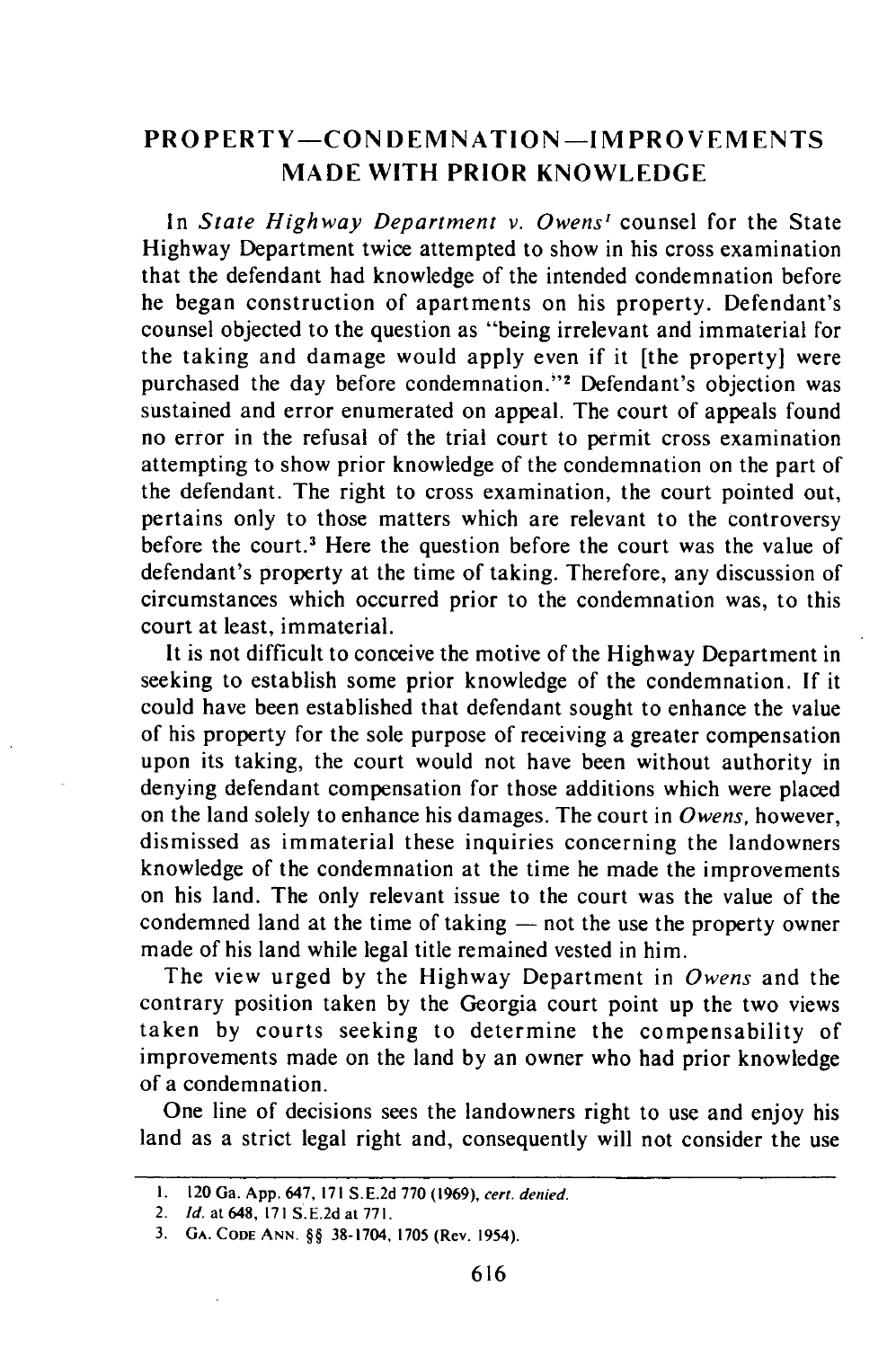## **PROPERTY-CONDEMNATION -IMPROVEMENTS MADE WITH PRIOR KNOWLEDGE**

In *State Highway Department v. Owens'* counsel for the State Highway Department twice attempted to show in his cross examination that the defendant had knowledge of the intended condemnation before he began construction of apartments on his property. Defendant's counsel objected to the question as "being irrelevant and immaterial for the taking and damage would apply even if it [the property] were purchased the day before condemnation."<sup>2</sup> Defendant's objection was sustained and error enumerated on appeal. The court of appeals found no error in the refusal of the trial court to permit cross examination attempting to show prior knowledge of the condemnation on the part of the defendant. The right to cross examination, the court pointed out, pertains only to those matters which are relevant to the controversy before the court.<sup>3</sup> Here the question before the court was the value of defendant's property at the time of taking. Therefore, any discussion of circumstances which occurred prior to the condemnation was, to this court at least, immaterial.

It is not difficult to conceive the motive of the Highway Department in seeking to establish some prior knowledge of the condemnation. **If** it could have been established that defendant sought to enhance the value of his property for the sole purpose of receiving a greater compensation upon its taking, the court would not have been without authority in denying defendant compensation for those additions which were placed on the land solely to enhance his damages. The court in *Owens,* however, dismissed as immaterial these inquiries concerning the landowners knowledge of the condemnation at the time he made the improvements on his land. The only relevant issue to the court was the value of the condemned land at the time of taking  $-$  not the use the property owner made of his land while legal title remained vested in him.

The view urged **by** the Highway Department in *Owens* and the contrary position taken **by** the Georgia court point up the two views taken **by** courts seeking to determine the compensability of improvements made on the land **by** an owner who had prior knowledge of a condemnation.

One line of decisions sees the landowners right to use and enjoy his land as a strict legal right and, consequently will not consider the use

**<sup>1.</sup>** 120 Ga. **App.** 647, **171 S.E.2d 770 (1969),** cert. denied.

<sup>2.</sup> **Id.** at648, **171** S.E.2d at **771.**

<sup>3.</sup> **GA. CODE ANN.** §§ 38-1704, **1705** (Rev. 1954).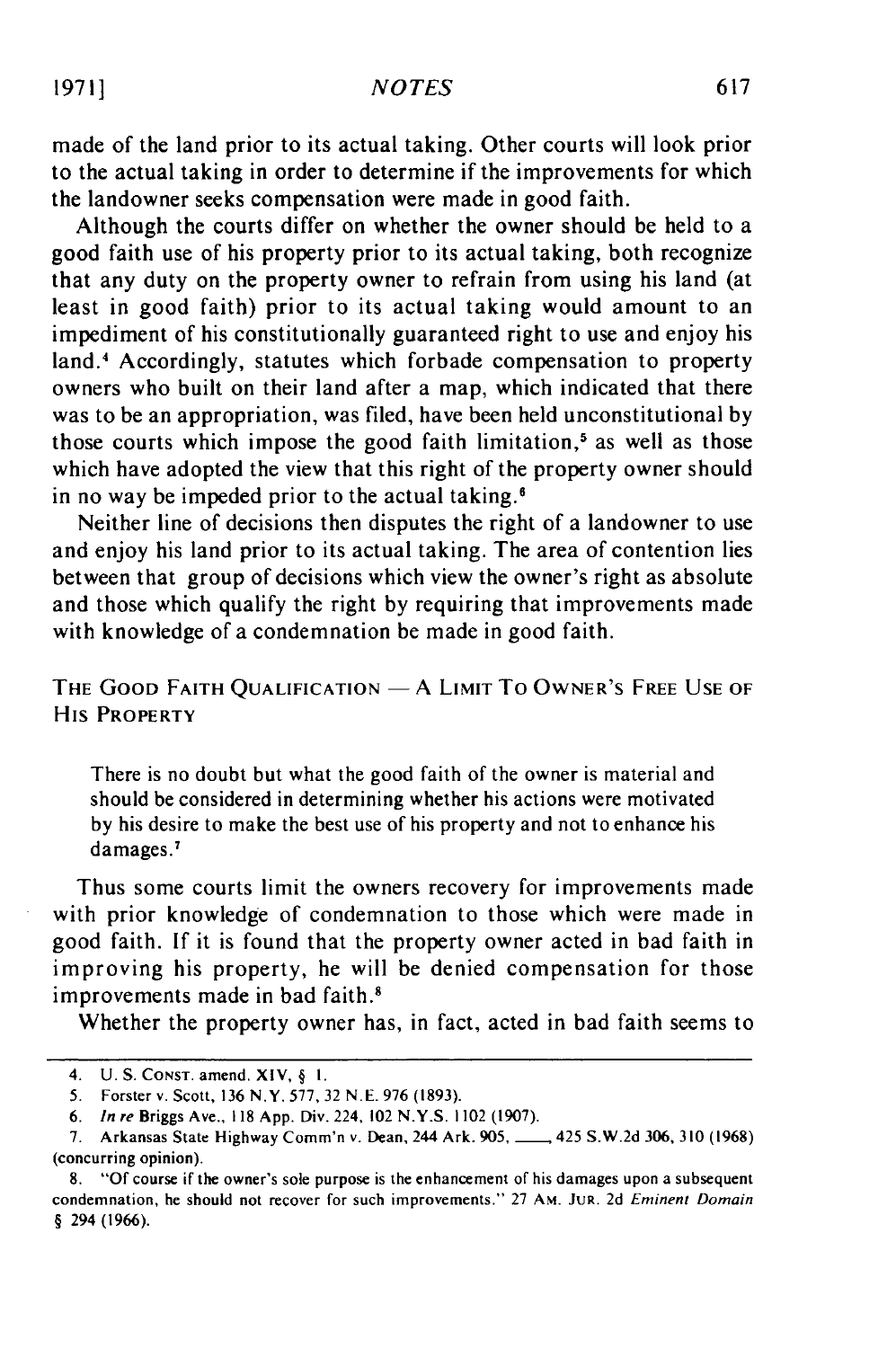made of the land prior to its actual taking. Other courts will look prior to the actual taking in order to determine if the improvements for which the landowner seeks compensation were made in good faith.

Although the courts differ on whether the owner should be held to a good faith use of his property prior to its actual taking, both recognize that any duty on the property owner to refrain from using his land (at least in good faith) prior to its actual taking would amount to an impediment of his constitutionally guaranteed right to use and enjoy his land.<sup>4</sup> Accordingly, statutes which forbade compensation to property owners who built on their land after a map, which indicated that there was to be an appropriation, was filed, have been held unconstitutional by those courts which impose the good faith limitation,<sup>5</sup> as well as those which have adopted the view that this right of the property owner should in no way be impeded prior to the actual taking.'

Neither line of decisions then disputes the right of a landowner to use and enjoy his land prior to its actual taking. The area of contention lies between that group of decisions which view the owner's right as absolute and those which qualify the right by requiring that improvements made with knowledge of a condemnation be made in good faith.

THE **GOOD** FAITH **QUALIFICATION -** A LIMIT To OWNER'S FREE **USE** OF His **PROPERTY**

There is no doubt but what the good faith of the owner is material and should be considered in determining whether his actions were motivated by his desire to make the best use of his property and not to enhance his damages.<sup>7</sup>

Thus some courts limit the owners recovery for improvements made with prior knowledge of condemnation to those which were made in good faith. If it is found that the property owner acted in bad faith in improving his property, he will be denied compensation for those improvements made in bad faith.<sup>8</sup>

Whether the property owner has, in fact, acted in bad faith seems to

<sup>4.</sup> U.S. **CONST.** amend. **XIV,** § **I.**

<sup>5.</sup> Forster v. Scott, 136 N.Y. **577, 32** N.E. **976** (1893).

<sup>6.</sup> *In re* Briggs Ave., **118** App. Div. 224, 102 N.Y.S. 1102 **(1907).**

**<sup>7.</sup>** Arkansas State Highway Comm'n v. Dean, 244 Ark. 905, 425 S.W.2d **306, 310** (1968) (concurring opinion).

<sup>8.</sup> **"Of** course if the owner's sole purpose is the enhancement of his damages upon a subsequent condemnation, he should not recover for such improvements." **27 AM. JUR. 2d** Eminent Domain § 294 (1966).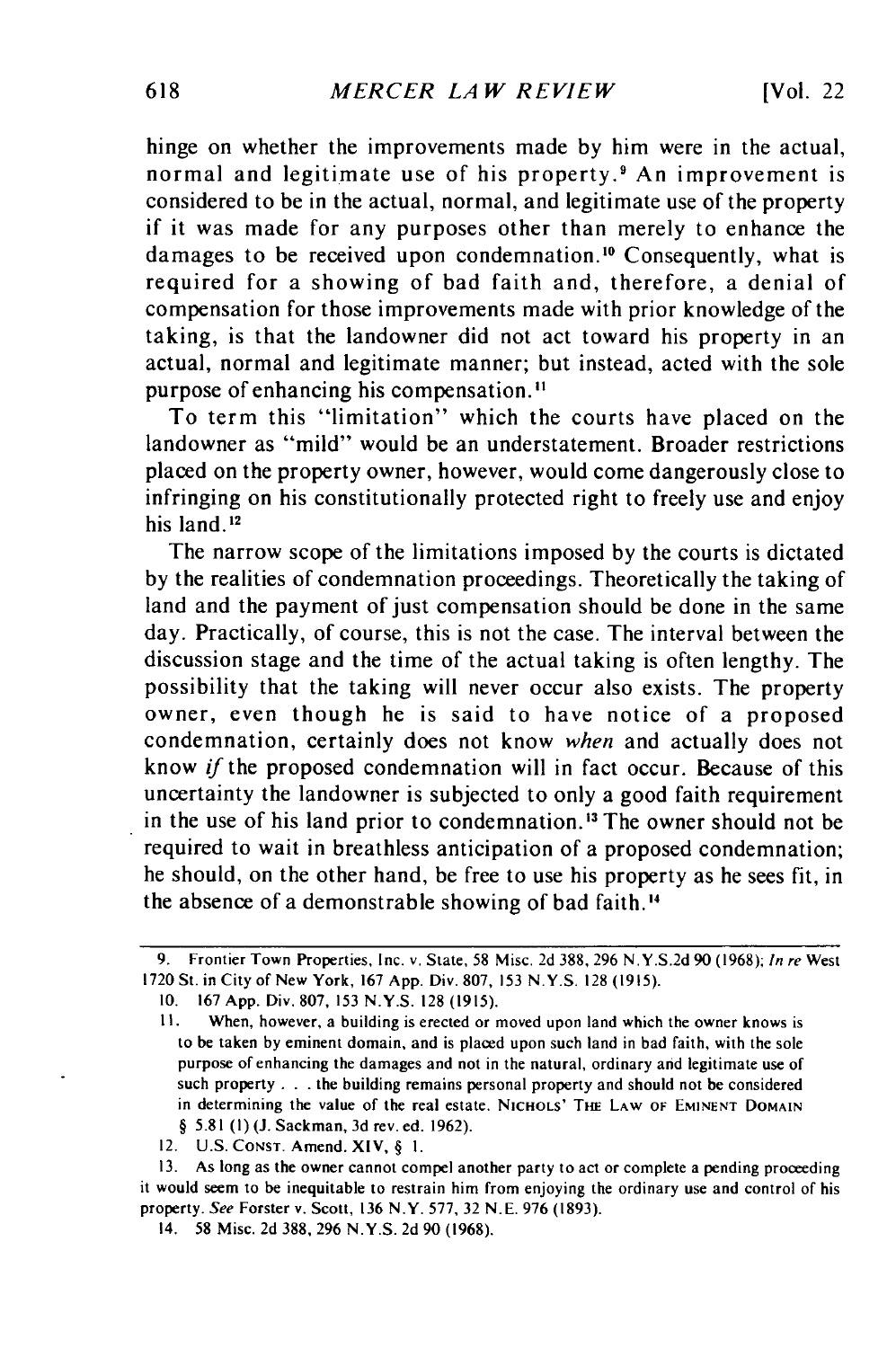hinge on whether the improvements made by him were in the actual, normal and legitimate use of his property.<sup>9</sup> An improvement is considered to be in the actual, normal, and legitimate use of the property if it was made for any purposes other than merely to enhance the damages to be received upon condemnation.<sup>10</sup> Consequently, what is required for a showing of bad faith and, therefore, a denial of compensation for those improvements made with prior knowledge of the taking, is that the landowner did not act toward his property in an actual, normal and legitimate manner; but instead, acted with the sole purpose of enhancing his compensation."

To term this "limitation" which the courts have placed on the landowner as "mild" would be an understatement. Broader restrictions placed on the property owner, however, would come dangerously close to infringing on his constitutionally protected right to freely use and enjoy his land. $12$ 

The narrow scope of the limitations imposed by the courts is dictated by the realities of condemnation proceedings. Theoretically the taking of land and the payment of just compensation should be done in the same day. Practically, of course, this is not the case. The interval between the discussion stage and the time of the actual taking is often lengthy. The possibility that the taking will never occur also exists. The property owner, even though he is said to have notice of a proposed condemnation, certainly does not know *when* and actually does not know if the proposed condemnation will in fact occur. Because of this uncertainty the landowner is subjected to only a good faith requirement in the use of his land prior to condemnation.<sup>13</sup> The owner should not be required to wait in breathless anticipation of a proposed condemnation; he should, on the other hand, be free to use his property as he sees fit, in the absence of a demonstrable showing of bad faith."

**13.** As long as the owner cannot compel another party to act or complete a pending proceeding it would seem to be inequitable to restrain him from enjoying the ordinary use and control of his property. *See* Forster v. Scott, **136** N.Y. **577,** 32 N.E. **976** (1893).

<sup>9.</sup> Frontier Town Properties, Inc. v. State, 58 Misc. 2d 388, 296 N.Y.S.2d 90 (1968); *In re* West 1720 St. in City of New York, 167 App. Div. 807, 153 N.Y.S. 128 (1915).

<sup>10. 167</sup> App. Div. 807, 153 **N.Y.S.** 128 (1915).

II. When, however, a building is erected or moved upon land which the owner knows is to be taken by eminent domain, and is placed upon such land in bad faith, with the sole purpose of enhancing the damages and not in the natural, ordinary and legitimate use of such property **. . .** the building remains personal property and should not be considered in determining the value of the real estate. **NICHOLS' THE** LAW **OF EMINENT DOMAIN** § 5.81 **(I)** (J. Sackman, 3d rev. ed. 1962).

<sup>12.</sup> U.S. CONST. Amend. XIV, § **I.**

<sup>14. 58</sup> Misc. **2d 388,** 296 **N.Y.S.** 2d 90 (1968).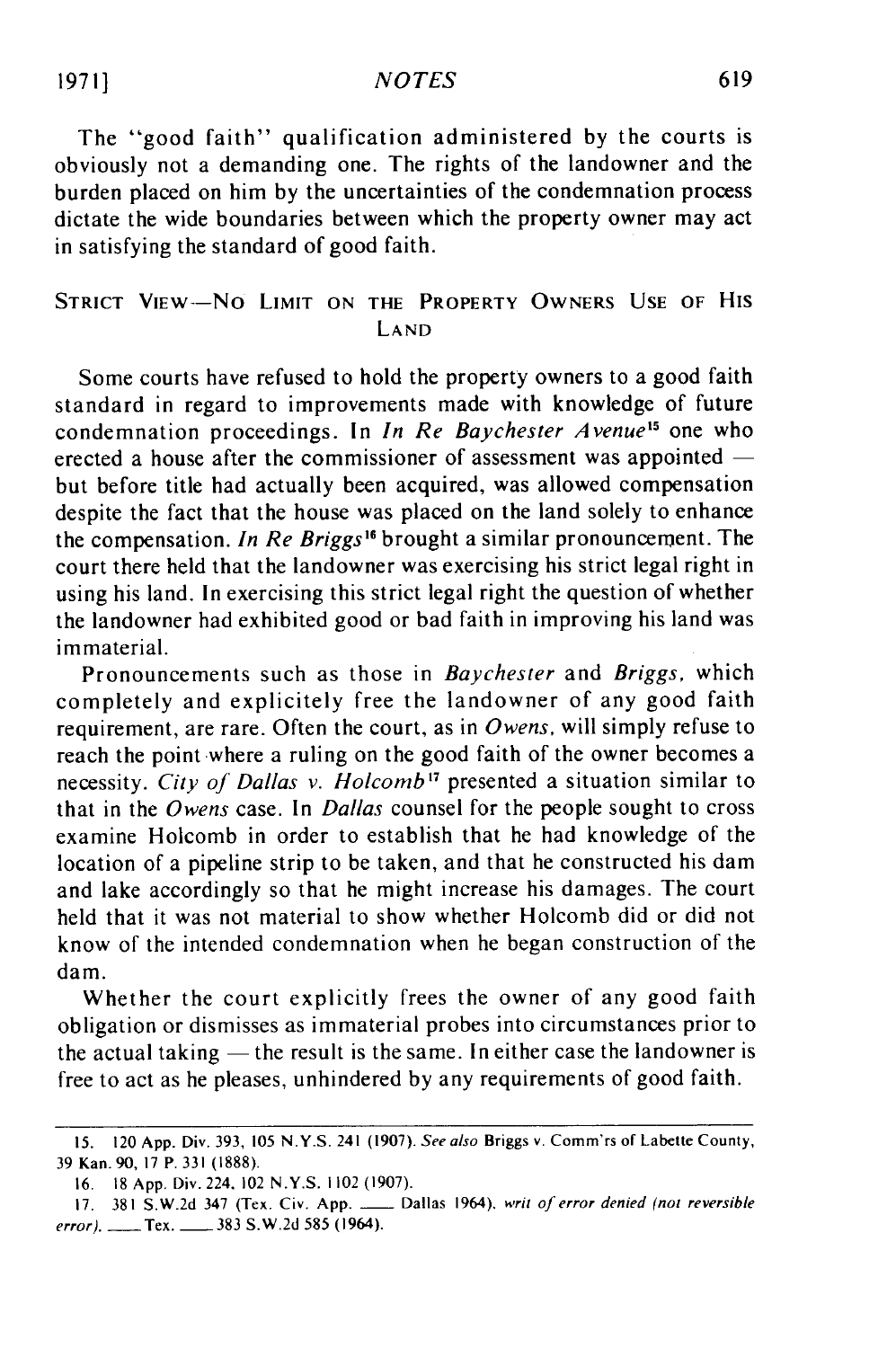The "good faith" qualification administered by the courts is obviously not a demanding one. The rights of the landowner and the burden placed on him by the uncertainties of the condemnation process dictate the wide boundaries between which the property owner may act in satisfying the standard of good faith.

## STRICT VIEW-NO LIMIT ON THE PROPERTY OWNERS USE OF HIS LAND

Some courts have refused to hold the property owners to a good faith standard in regard to improvements made with knowledge of future condemnation proceedings. In *In Re Baychester Avenue*<sup>15</sup> one who erected a house after the commissioner of assessment was appointed – but before title had actually been acquired, was allowed compensation despite the fact that the house was placed on the land solely to enhance the compensation. *In Re Briggs"6* brought a similar pronouncement. The court there held that the landowner was exercising his strict legal right in using his land. In exercising this strict legal right the question of whether the landowner had exhibited good or bad faith in improving his land was immaterial.

Pronouncements such as those in *Baychester* and *Briggs,* which completely and explicitely free the landowner of any good faith requirement, are rare. Often the court, as in *Owens,* will simply refuse to reach the point where a ruling on the good faith of the owner becomes a necessity. City of Dallas v. Holcomb<sup>17</sup> presented a situation similar to that in the Owens case. In Dallas counsel for the people sought to cross examine Holcomb in order to establish that he had knowledge of the location of a pipeline strip to be taken, and that he constructed his dam and lake accordingly so that he might increase his damages. The court held that it was not material to show whether Holcomb did or did not know of the intended condemnation when he began construction of the dam.

Whether the court explicitly frees the owner of any good faith obligation or dismisses as immaterial probes into circumstances prior to the actual taking **-** the result is the same. In either case the landowner is free to act as he pleases, unhindered by any requirements of good faith.

**1971]**

<sup>15. 120</sup> App. Div. 393, 105 **N.Y.S.** 241 (1907). See also Briggs v. Comm'rs of Labette County, 39 Kan. 90, 17 P. 331 (1888).

<sup>16.</sup> **18** App. Div. 224, 102 **N.Y.S.** 1102 (1907).

<sup>17. 381</sup> S.W.2d 347 (Tex. Civ. App. **-** Dallas 1964), writ of error denied (not reversible error), \_\_\_\_ Tex.  $\_\_\_\_$  383 S.W.2d 585 (1964).